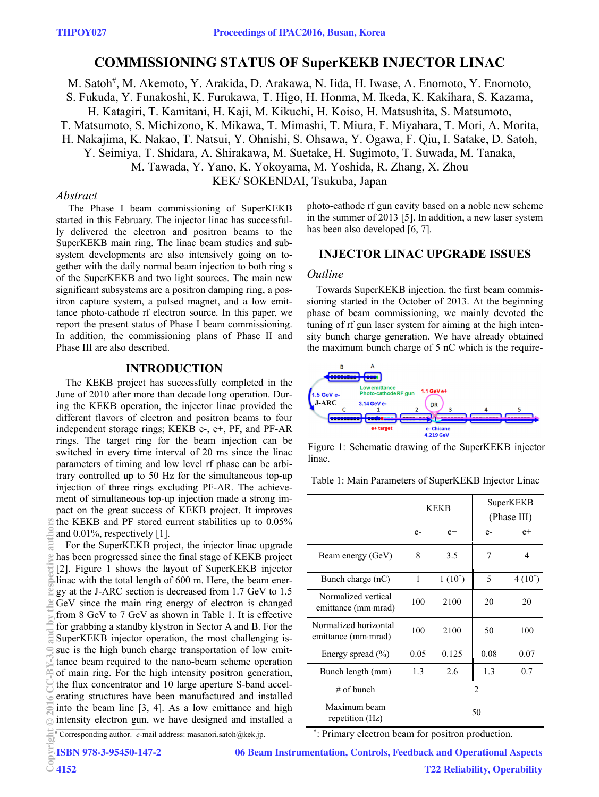# **COMMISSIONING STATUS OF SuperKEKB INJECTOR LINAC**

M. Satoh<sup>#</sup>, M. Akemoto, Y. Arakida, D. Arakawa, N. Iida, H. Iwase, A. Enomoto, Y. Enomoto,

S. Fukuda, Y. Funakoshi, K. Furukawa, T. Higo, H. Honma, M. Ikeda, K. Kakihara, S. Kazama,

H. Katagiri, T. Kamitani, H. Kaji, M. Kikuchi, H. Koiso, H. Matsushita, S. Matsumoto,

T. Matsumoto, S. Michizono, K. Mikawa, T. Mimashi, T. Miura, F. Miyahara, T. Mori, A. Morita,

H. Nakajima, K. Nakao, T. Natsui, Y. Ohnishi, S. Ohsawa, Y. Ogawa, F. Qiu, I. Satake, D. Satoh,

Y. Seimiya, T. Shidara, A. Shirakawa, M. Suetake, H. Sugimoto, T. Suwada, M. Tanaka,

M. Tawada, Y. Yano, K. Yokoyama, M. Yoshida, R. Zhang, X. Zhou

KEK/ SOKENDAI, Tsukuba, Japan

## *Abstract*

 The Phase I beam commissioning of SuperKEKB started in this February. The injector linac has successfully delivered the electron and positron beams to the SuperKEKB main ring. The linac beam studies and subsystem developments are also intensively going on together with the daily normal beam injection to both ring s of the SuperKEKB and two light sources. The main new significant subsystems are a positron damping ring, a positron capture system, a pulsed magnet, and a low emittance photo-cathode rf electron source. In this paper, we report the present status of Phase I beam commissioning. In addition, the commissioning plans of Phase II and Phase III are also described.

#### **INTRODUCTION**

The KEKB project has successfully completed in the June of 2010 after more than decade long operation. During the KEKB operation, the injector linac provided the different flavors of electron and positron beams to four independent storage rings; KEKB e-, e+, PF, and PF-AR rings. The target ring for the beam injection can be switched in every time interval of 20 ms since the linac parameters of timing and low level rf phase can be arbitrary controlled up to 50 Hz for the simultaneous top-up injection of three rings excluding PF-AR. The achievement of simultaneous top-up injection made a strong impact on the great success of KEKB project. It improves the KEKB and PF stored current stabilities up to 0.05% and 0.01%, respectively [1].

For the SuperKEKB project, the injector linac upgrade has been progressed since the final stage of KEKB project [2]. Figure 1 shows the layout of SuperKEKB injector linac with the total length of 600 m. Here, the beam energy at the J-ARC section is decreased from 1.7 GeV to 1.5 GeV since the main ring energy of electron is changed from 8 GeV to 7 GeV as shown in Table 1. It is effective for grabbing a standby klystron in Sector A and B. For the SuperKEKB injector operation, the most challenging issue is the high bunch charge transportation of low emittance beam required to the nano-beam scheme operation of main ring. For the high intensity positron generation, the flux concentrator and 10 large aperture S-band accelerating structures have been manufactured and installed into the beam line [3, 4]. As a low emittance and high intensity electron gun, we have designed and installed a Copyright Copyright Copyright Copyright Copyright Copyright Copyright Copyright Copyright Copyright Copyright Copyright Copyright Copyright Copyright Copyright Copyright Copyright Copyright Copyright Copyright Copyright C

photo-cathode rf gun cavity based on a noble new scheme in the summer of 2013 [5]. In addition, a new laser system has been also developed [6, 7].

# **INJECTOR LINAC UPGRADE ISSUES**

### *Outline*

Towards SuperKEKB injection, the first beam commissioning started in the October of 2013. At the beginning phase of beam commissioning, we mainly devoted the tuning of rf gun laser system for aiming at the high intensity bunch charge generation. We have already obtained the maximum bunch charge of 5 nC which is the require-



Figure 1: Schematic drawing of the SuperKEKB injector linac.

Table 1: Main Parameters of SuperKEKB Injector Linac

|                                              | <b>KEKB</b>   |           | SuperKEKB<br>(Phase III) |           |
|----------------------------------------------|---------------|-----------|--------------------------|-----------|
|                                              | $e-$          | $e+$      | $e-$                     | $e+$      |
| Beam energy (GeV)                            | 8             | 3.5       | 7                        | 4         |
| Bunch charge (nC)                            | 1             | $1(10^*)$ | 5                        | $4(10^*)$ |
| Normalized vertical<br>emittance (mm·mrad)   | 100           | 2100      | 20                       | 20        |
| Normalized horizontal<br>emittance (mm·mrad) | 100           | 2100      | 50                       | 100       |
| Energy spread $(\% )$                        | 0.05          | 0.125     | 0.08                     | 0.07      |
| Bunch length (mm)                            | 1.3           | 2.6       | 1.3                      | 0.7       |
| $\#$ of bunch                                | $\mathcal{D}$ |           |                          |           |
| Maximum beam<br>repetition (Hz)              | 50            |           |                          |           |

# Corresponding author. *e*-mail address: masanori.satoh@kek.jp.

\* : Primary electron beam for positron production.

ISBN 978-3-95450-147-2

4152

 $\frac{1}{2}$ 

06 Beam Instrumentation, Controls, Feedback and Operational Aspects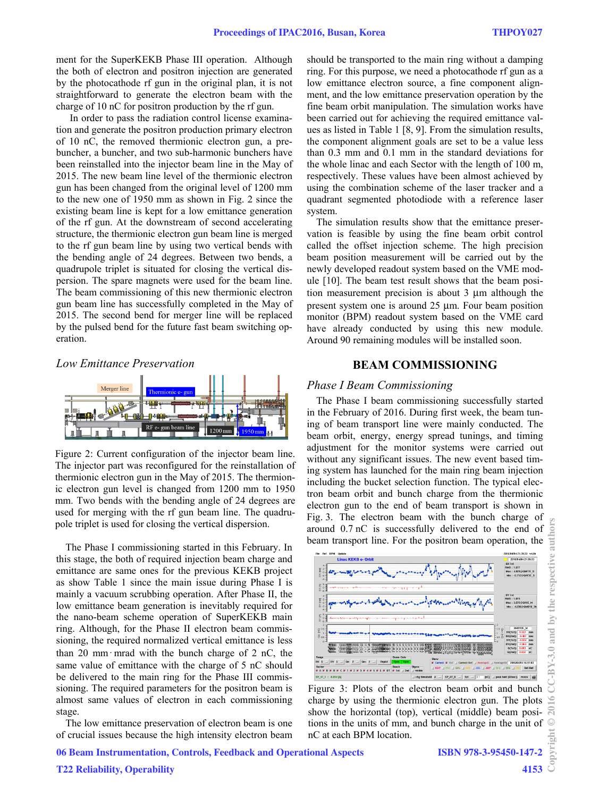ment for the SuperKEKB Phase III operation. Although the both of electron and positron injection are generated by the photocathode rf gun in the original plan, it is not straightforward to generate the electron beam with the charge of 10 nC for positron production by the rf gun.

In order to pass the radiation control license examination and generate the positron production primary electron of 10 nC, the removed thermionic electron gun, a prebuncher, a buncher, and two sub-harmonic bunchers have been reinstalled into the injector beam line in the May of 2015. The new beam line level of the thermionic electron gun has been changed from the original level of 1200 mm to the new one of 1950 mm as shown in Fig. 2 since the existing beam line is kept for a low emittance generation of the rf gun. At the downstream of second accelerating structure, the thermionic electron gun beam line is merged to the rf gun beam line by using two vertical bends with the bending angle of 24 degrees. Between two bends, a quadrupole triplet is situated for closing the vertical dispersion. The spare magnets were used for the beam line. The beam commissioning of this new thermionic electron gun beam line has successfully completed in the May of 2015. The second bend for merger line will be replaced by the pulsed bend for the future fast beam switching operation.

#### *Low Emittance Preservation*



Figure 2: Current configuration of the injector beam line. The injector part was reconfigured for the reinstallation of thermionic electron gun in the May of 2015. The thermionic electron gun level is changed from 1200 mm to 1950 mm. Two bends with the bending angle of 24 degrees are used for merging with the rf gun beam line. The quadrupole triplet is used for closing the vertical dispersion.

The Phase I commissioning started in this February. In this stage, the both of required injection beam charge and emittance are same ones for the previous KEKB project as show Table 1 since the main issue during Phase I is mainly a vacuum scrubbing operation. After Phase II, the low emittance beam generation is inevitably required for the nano-beam scheme operation of SuperKEKB main ring. Although, for the Phase II electron beam commissioning, the required normalized vertical emittance is less than 20 mm∙mrad with the bunch charge of 2 nC, the same value of emittance with the charge of 5 nC should be delivered to the main ring for the Phase III commissioning. The required parameters for the positron beam is almost same values of electron in each commissioning stage.

The low emittance preservation of electron beam is one of crucial issues because the high intensity electron beam should be transported to the main ring without a damping ring. For this purpose, we need a photocathode rf gun as a low emittance electron source, a fine component alignment, and the low emittance preservation operation by the fine beam orbit manipulation. The simulation works have been carried out for achieving the required emittance values as listed in Table 1 [8, 9]. From the simulation results, the component alignment goals are set to be a value less than 0.3 mm and 0.1 mm in the standard deviations for the whole linac and each Sector with the length of 100 m, respectively. These values have been almost achieved by using the combination scheme of the laser tracker and a quadrant segmented photodiode with a reference laser system.

The simulation results show that the emittance preservation is feasible by using the fine beam orbit control called the offset injection scheme. The high precision beam position measurement will be carried out by the newly developed readout system based on the VME module [10]. The beam test result shows that the beam position measurement precision is about 3 μm although the present system one is around 25 μm. Four beam position monitor (BPM) readout system based on the VME card have already conducted by using this new module. Around 90 remaining modules will be installed soon.

### **BEAM COMMISSIONING**

#### *Phase I Beam Commissioning*

The Phase I beam commissioning successfully started in the February of 2016. During first week, the beam tuning of beam transport line were mainly conducted. The beam orbit, energy, energy spread tunings, and timing adjustment for the monitor systems were carried out without any significant issues. The new event based timing system has launched for the main ring beam injection including the bucket selection function. The typical electron beam orbit and bunch charge from the thermionic electron gun to the end of beam transport is shown in Fig. 3. The electron beam with the bunch charge of around 0.7 nC is successfully delivered to the end of beam transport line. For the positron beam operation, the



Figure 3: Plots of the electron beam orbit and bunch charge by using the thermionic electron gun. The plots show the horizontal (top), vertical (middle) beam positions in the units of mm, and bunch charge in the unit of nC at each BPM location.

 $201$  $\circledcirc$ 

authors